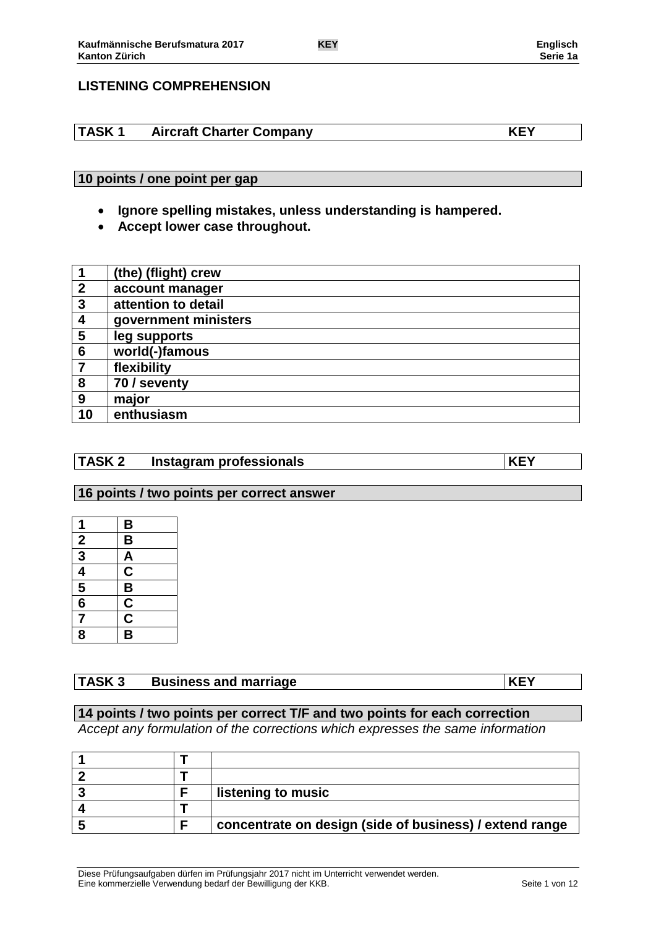# **LISTENING COMPREHENSION**

# **TASK 1 Aircraft Charter Company KEY**

# **10 points / one point per gap**

- **Ignore spelling mistakes, unless understanding is hampered.**
- **Accept lower case throughout.**

|                  | (the) (flight) crew  |
|------------------|----------------------|
| $\boldsymbol{2}$ | account manager      |
| $\mathbf{3}$     | attention to detail  |
| $\boldsymbol{4}$ | government ministers |
| 5                | leg supports         |
| $6\phantom{1}6$  | world(-)famous       |
| $\overline{7}$   | flexibility          |
| 8                | 70 / seventy         |
| 9                | major                |
| 10               | enthusiasm           |

## **TASK 2 Instagram professionals KEY**

### **16 points / two points per correct answer**

| 1                                                       | B                                         |
|---------------------------------------------------------|-------------------------------------------|
|                                                         | $\overline{\mathsf{B}}$                   |
| $\frac{2}{3}$ $\frac{3}{4}$ $\frac{4}{5}$ $\frac{6}{7}$ |                                           |
|                                                         |                                           |
|                                                         |                                           |
|                                                         |                                           |
|                                                         | $\frac{A}{C}$ $\frac{B}{C}$ $\frac{C}{B}$ |
| $\bar{\mathbf{8}}$                                      |                                           |

# **TASK 3 Business and marriage KEY**

# **14 points / two points per correct T/F and two points for each correction**

*Accept any formulation of the corrections which expresses the same information*

|  | listening to music                                      |
|--|---------------------------------------------------------|
|  |                                                         |
|  | concentrate on design (side of business) / extend range |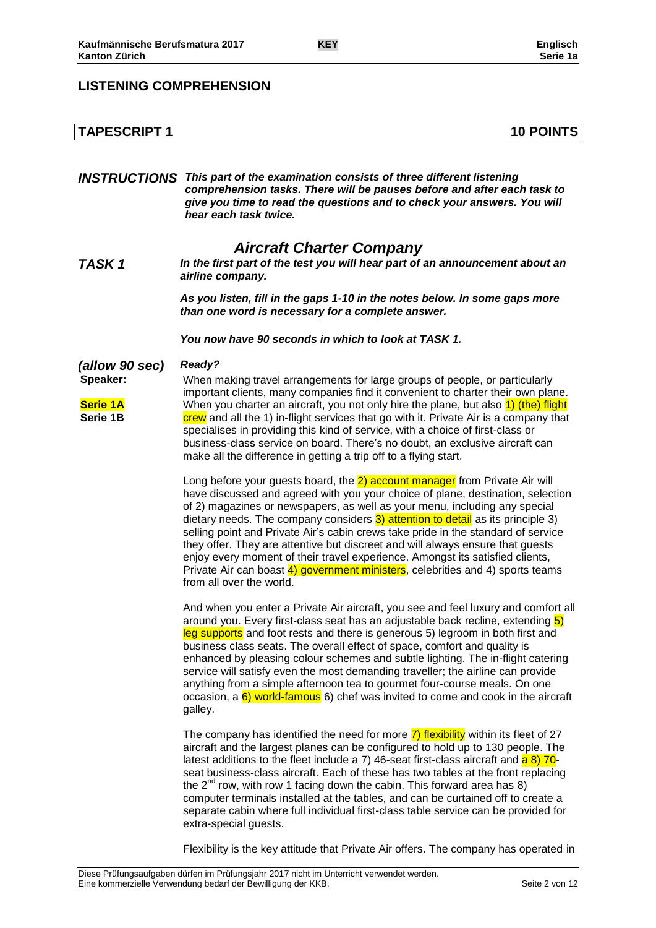# **LISTENING COMPREHENSION**

# **TAPESCRIPT 1 10 POINTS**

*INSTRUCTIONS This part of the examination consists of three different listening comprehension tasks. There will be pauses before and after each task to give you time to read the questions and to check your answers. You will hear each task twice.*

# *Aircraft Charter Company*

*TASK 1 In the first part of the test you will hear part of an announcement about an airline company.*

> *As you listen, fill in the gaps 1-10 in the notes below. In some gaps more than one word is necessary for a complete answer.*

#### *You now have 90 seconds in which to look at TASK 1.*

*(allow 90 sec) Ready?*

**Speaker: Serie 1A Serie 1B** When making travel arrangements for large groups of people, or particularly important clients, many companies find it convenient to charter their own plane. When you charter an aircraft, you not only hire the plane, but also 1) (the) flight crew and all the 1) in-flight services that go with it. Private Air is a company that specialises in providing this kind of service, with a choice of first-class or business-class service on board. There's no doubt, an exclusive aircraft can make all the difference in getting a trip off to a flying start.

> Long before your quests board, the 2) account manager from Private Air will have discussed and agreed with you your choice of plane, destination, selection of 2) magazines or newspapers, as well as your menu, including any special dietary needs. The company considers  $3)$  attention to detail as its principle 3) selling point and Private Air's cabin crews take pride in the standard of service they offer. They are attentive but discreet and will always ensure that guests enjoy every moment of their travel experience. Amongst its satisfied clients, Private Air can boast 4) government ministers, celebrities and 4) sports teams from all over the world.

And when you enter a Private Air aircraft, you see and feel luxury and comfort all around you. Every first-class seat has an adjustable back recline, extending 5) leg supports and foot rests and there is generous 5) legroom in both first and business class seats. The overall effect of space, comfort and quality is enhanced by pleasing colour schemes and subtle lighting. The in-flight catering service will satisfy even the most demanding traveller; the airline can provide anything from a simple afternoon tea to gourmet four-course meals. On one occasion, a  $6$ ) world-famous 6) chef was invited to come and cook in the aircraft galley.

The company has identified the need for more 7) flexibility within its fleet of 27 aircraft and the largest planes can be configured to hold up to 130 people. The latest additions to the fleet include a 7) 46-seat first-class aircraft and  $\frac{a}{a}$  8) 70seat business-class aircraft. Each of these has two tables at the front replacing the  $2^{nd}$  row, with row 1 facing down the cabin. This forward area has 8) computer terminals installed at the tables, and can be curtained off to create a separate cabin where full individual first-class table service can be provided for extra-special guests.

Flexibility is the key attitude that Private Air offers. The company has operated in

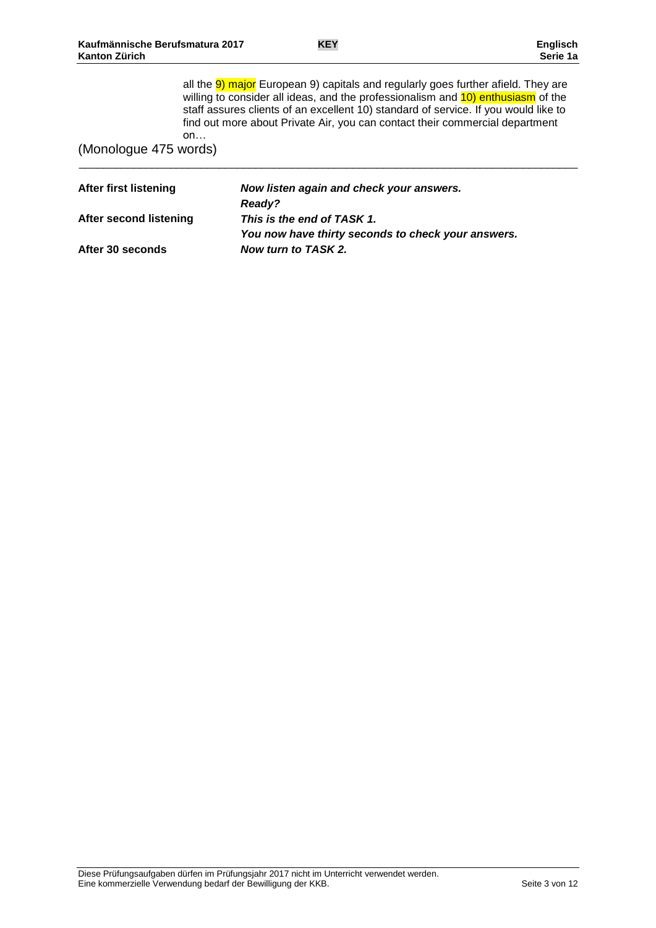\_\_\_\_\_\_\_\_\_\_\_\_\_\_\_\_\_\_\_\_\_\_\_\_\_\_\_\_\_\_\_\_\_\_\_\_\_\_\_\_\_\_\_\_\_\_\_\_\_\_\_\_\_\_\_\_\_\_\_\_\_\_\_\_\_\_\_\_\_\_\_\_\_\_\_\_\_\_\_\_\_\_

all the 9) major European 9) capitals and regularly goes further afield. They are willing to consider all ideas, and the professionalism and 10) enthusiasm of the staff assures clients of an excellent 10) standard of service. If you would like to find out more about Private Air, you can contact their commercial department on…

(Monologue 475 words)

| After first listening  | Now listen again and check your answers.           |
|------------------------|----------------------------------------------------|
|                        | <b>Ready?</b>                                      |
| After second listening | This is the end of TASK 1.                         |
|                        | You now have thirty seconds to check your answers. |
| After 30 seconds       | Now turn to TASK 2.                                |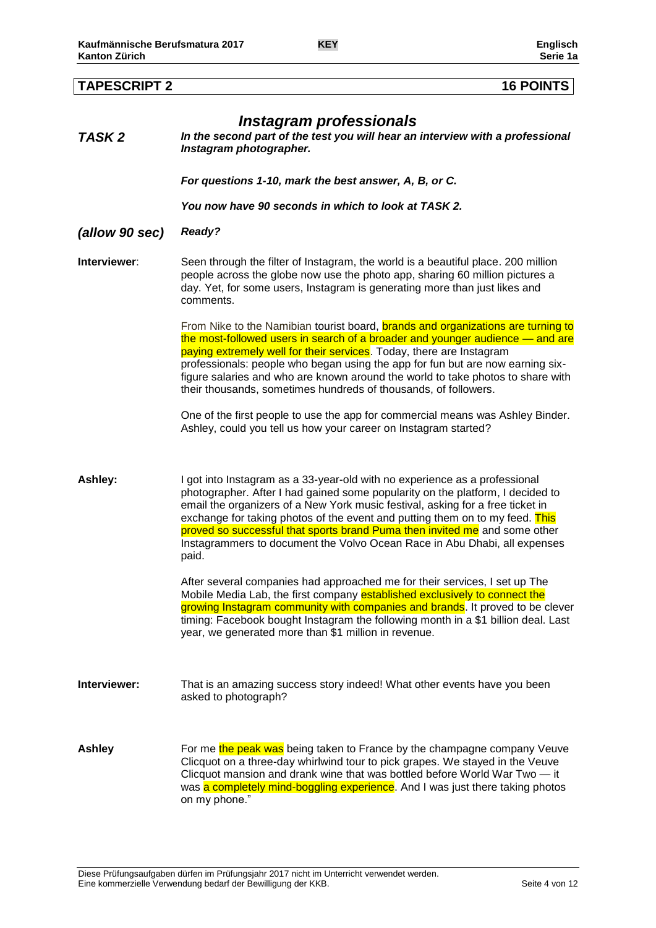| <b>TAPESCRIPT 2</b> | <b>16 POINTS</b>                                                                                                                                                                                                                                                                                                                                                                                                                                                                                   |
|---------------------|----------------------------------------------------------------------------------------------------------------------------------------------------------------------------------------------------------------------------------------------------------------------------------------------------------------------------------------------------------------------------------------------------------------------------------------------------------------------------------------------------|
| TASK <sub>2</sub>   | Instagram professionals<br>In the second part of the test you will hear an interview with a professional<br>Instagram photographer.                                                                                                                                                                                                                                                                                                                                                                |
|                     | For questions 1-10, mark the best answer, A, B, or C.                                                                                                                                                                                                                                                                                                                                                                                                                                              |
|                     | You now have 90 seconds in which to look at TASK 2.                                                                                                                                                                                                                                                                                                                                                                                                                                                |
| (allow 90 sec)      | Ready?                                                                                                                                                                                                                                                                                                                                                                                                                                                                                             |
| Interviewer:        | Seen through the filter of Instagram, the world is a beautiful place. 200 million<br>people across the globe now use the photo app, sharing 60 million pictures a<br>day. Yet, for some users, Instagram is generating more than just likes and<br>comments.                                                                                                                                                                                                                                       |
|                     | From Nike to the Namibian tourist board, brands and organizations are turning to<br>the most-followed users in search of a broader and younger audience — and are<br>paying extremely well for their services. Today, there are Instagram<br>professionals: people who began using the app for fun but are now earning six-<br>figure salaries and who are known around the world to take photos to share with<br>their thousands, sometimes hundreds of thousands, of followers.                  |
|                     | One of the first people to use the app for commercial means was Ashley Binder.<br>Ashley, could you tell us how your career on Instagram started?                                                                                                                                                                                                                                                                                                                                                  |
| Ashley:             | I got into Instagram as a 33-year-old with no experience as a professional<br>photographer. After I had gained some popularity on the platform, I decided to<br>email the organizers of a New York music festival, asking for a free ticket in<br>exchange for taking photos of the event and putting them on to my feed. This<br>proved so successful that sports brand Puma then invited me and some other<br>Instagrammers to document the Volvo Ocean Race in Abu Dhabi, all expenses<br>paid. |
|                     | After several companies had approached me for their services, I set up The<br>Mobile Media Lab, the first company established exclusively to connect the<br>growing Instagram community with companies and brands. It proved to be clever<br>timing: Facebook bought Instagram the following month in a \$1 billion deal. Last<br>year, we generated more than \$1 million in revenue.                                                                                                             |
| Interviewer:        | That is an amazing success story indeed! What other events have you been<br>asked to photograph?                                                                                                                                                                                                                                                                                                                                                                                                   |
| Ashley              | For me the peak was being taken to France by the champagne company Veuve<br>Clicquot on a three-day whirlwind tour to pick grapes. We stayed in the Veuve<br>Clicquot mansion and drank wine that was bottled before World War Two - it<br>was a completely mind-boggling experience. And I was just there taking photos<br>on my phone."                                                                                                                                                          |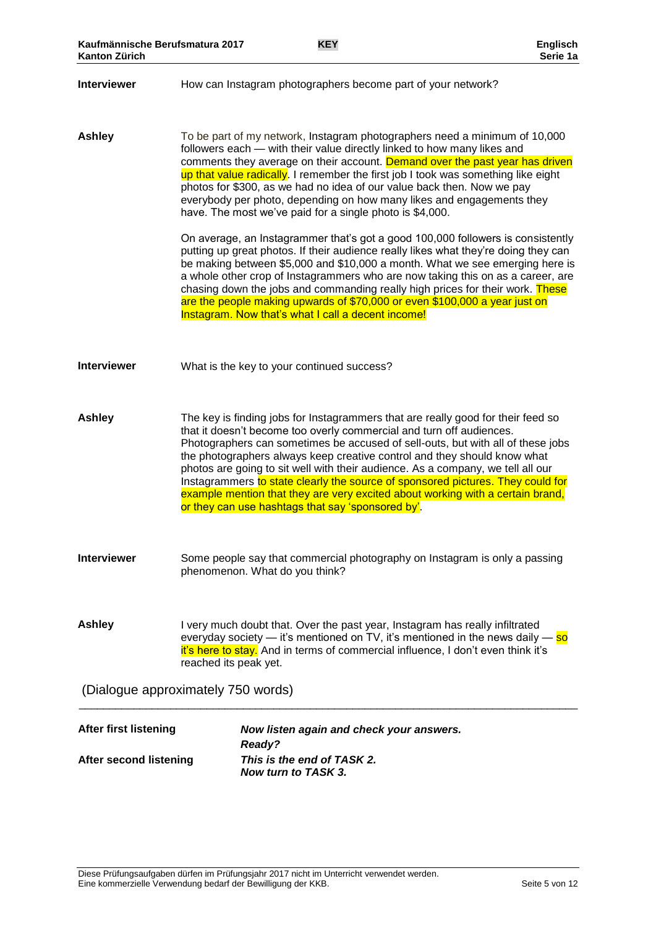#### **Interviewer** How can Instagram photographers become part of your network?

**Ashley** To be part of my network, Instagram photographers need a minimum of 10,000 followers each — with their value directly linked to how many likes and comments they average on their account. Demand over the past year has driven up that value radically. I remember the first job I took was something like eight photos for \$300, as we had no idea of our value back then. Now we pay everybody per photo, depending on how many likes and engagements they have. The most we've paid for a single photo is \$4,000.

> On average, an Instagrammer that's got a good 100,000 followers is consistently putting up great photos. If their audience really likes what they're doing they can be making between \$5,000 and \$10,000 a month. What we see emerging here is a whole other crop of Instagrammers who are now taking this on as a career, are chasing down the jobs and commanding really high prices for their work. These are the people making upwards of \$70,000 or even \$100,000 a year just on Instagram. Now that's what I call a decent income!

**Interviewer** What is the key to your continued success?

**Ashley** The key is finding jobs for Instagrammers that are really good for their feed so that it doesn't become too overly commercial and turn off audiences. Photographers can sometimes be accused of sell-outs, but with all of these jobs the photographers always keep creative control and they should know what photos are going to sit well with their audience. As a company, we tell all our Instagrammers to state clearly the source of sponsored pictures. They could for example mention that they are very excited about working with a certain brand, or they can use hashtags that say 'sponsored by'.

**Interviewer** Some people say that commercial photography on Instagram is only a passing phenomenon. What do you think?

Ashley I very much doubt that. Over the past year, Instagram has really infiltrated everyday society — it's mentioned on TV, it's mentioned in the news daily — so it's here to stay. And in terms of commercial influence, I don't even think it's reached its peak yet.

\_\_\_\_\_\_\_\_\_\_\_\_\_\_\_\_\_\_\_\_\_\_\_\_\_\_\_\_\_\_\_\_\_\_\_\_\_\_\_\_\_\_\_\_\_\_\_\_\_\_\_\_\_\_\_\_\_\_\_\_\_\_\_\_\_\_\_\_\_\_\_\_\_\_\_\_\_\_\_\_\_\_

(Dialogue approximately 750 words)

| After first listening  | Now listen again and check your answers. |  |
|------------------------|------------------------------------------|--|
|                        | <b>Ready?</b>                            |  |
| After second listening | This is the end of TASK 2.               |  |
|                        | Now turn to TASK 3.                      |  |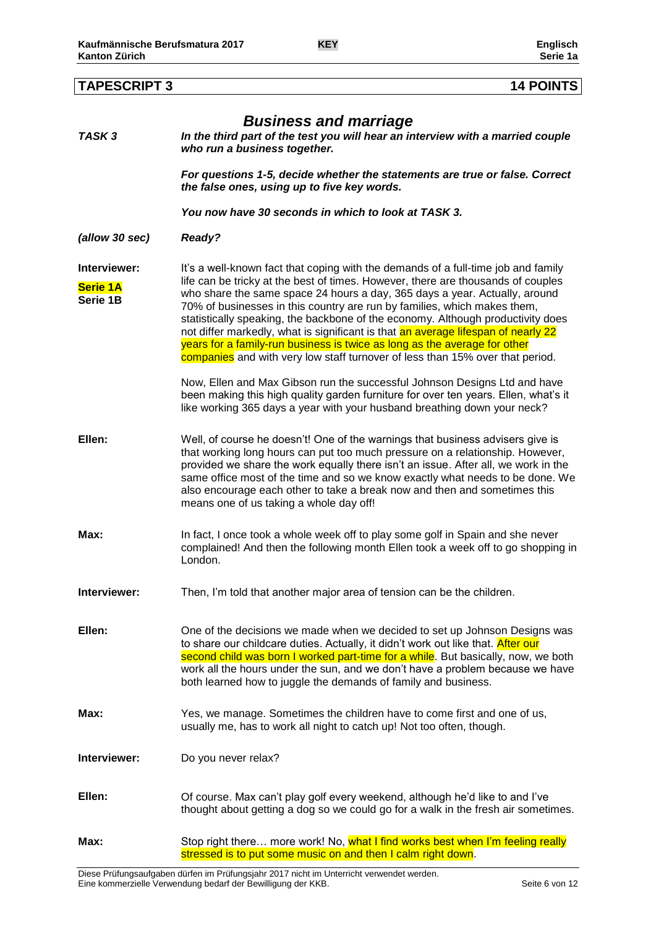| TASK 3                                      | <b>Business and marriage</b><br>In the third part of the test you will hear an interview with a married couple<br>who run a business together.                                                                                                                                                                                                                                                                                                                                                                                                                                                                                                                        |
|---------------------------------------------|-----------------------------------------------------------------------------------------------------------------------------------------------------------------------------------------------------------------------------------------------------------------------------------------------------------------------------------------------------------------------------------------------------------------------------------------------------------------------------------------------------------------------------------------------------------------------------------------------------------------------------------------------------------------------|
|                                             | For questions 1-5, decide whether the statements are true or false. Correct<br>the false ones, using up to five key words.                                                                                                                                                                                                                                                                                                                                                                                                                                                                                                                                            |
|                                             | You now have 30 seconds in which to look at TASK 3.                                                                                                                                                                                                                                                                                                                                                                                                                                                                                                                                                                                                                   |
| (allow 30 sec)                              | Ready?                                                                                                                                                                                                                                                                                                                                                                                                                                                                                                                                                                                                                                                                |
| Interviewer:<br><b>Serie 1A</b><br>Serie 1B | It's a well-known fact that coping with the demands of a full-time job and family<br>life can be tricky at the best of times. However, there are thousands of couples<br>who share the same space 24 hours a day, 365 days a year. Actually, around<br>70% of businesses in this country are run by families, which makes them,<br>statistically speaking, the backbone of the economy. Although productivity does<br>not differ markedly, what is significant is that an average lifespan of nearly 22<br>years for a family-run business is twice as long as the average for other<br>companies and with very low staff turnover of less than 15% over that period. |
|                                             | Now, Ellen and Max Gibson run the successful Johnson Designs Ltd and have<br>been making this high quality garden furniture for over ten years. Ellen, what's it<br>like working 365 days a year with your husband breathing down your neck?                                                                                                                                                                                                                                                                                                                                                                                                                          |
| Ellen:                                      | Well, of course he doesn't! One of the warnings that business advisers give is<br>that working long hours can put too much pressure on a relationship. However,<br>provided we share the work equally there isn't an issue. After all, we work in the<br>same office most of the time and so we know exactly what needs to be done. We<br>also encourage each other to take a break now and then and sometimes this<br>means one of us taking a whole day off!                                                                                                                                                                                                        |
| Max:                                        | In fact, I once took a whole week off to play some golf in Spain and she never<br>complained! And then the following month Ellen took a week off to go shopping in<br>London.                                                                                                                                                                                                                                                                                                                                                                                                                                                                                         |
| Interviewer:                                | Then, I'm told that another major area of tension can be the children.                                                                                                                                                                                                                                                                                                                                                                                                                                                                                                                                                                                                |
| Ellen:                                      | One of the decisions we made when we decided to set up Johnson Designs was<br>to share our childcare duties. Actually, it didn't work out like that. After our<br>second child was born I worked part-time for a while. But basically, now, we both<br>work all the hours under the sun, and we don't have a problem because we have<br>both learned how to juggle the demands of family and business.                                                                                                                                                                                                                                                                |
| Max:                                        | Yes, we manage. Sometimes the children have to come first and one of us,<br>usually me, has to work all night to catch up! Not too often, though.                                                                                                                                                                                                                                                                                                                                                                                                                                                                                                                     |
| Interviewer:                                | Do you never relax?                                                                                                                                                                                                                                                                                                                                                                                                                                                                                                                                                                                                                                                   |
| Ellen:                                      | Of course. Max can't play golf every weekend, although he'd like to and I've<br>thought about getting a dog so we could go for a walk in the fresh air sometimes.                                                                                                                                                                                                                                                                                                                                                                                                                                                                                                     |

# **TAPESCRIPT 3 14 POINTS**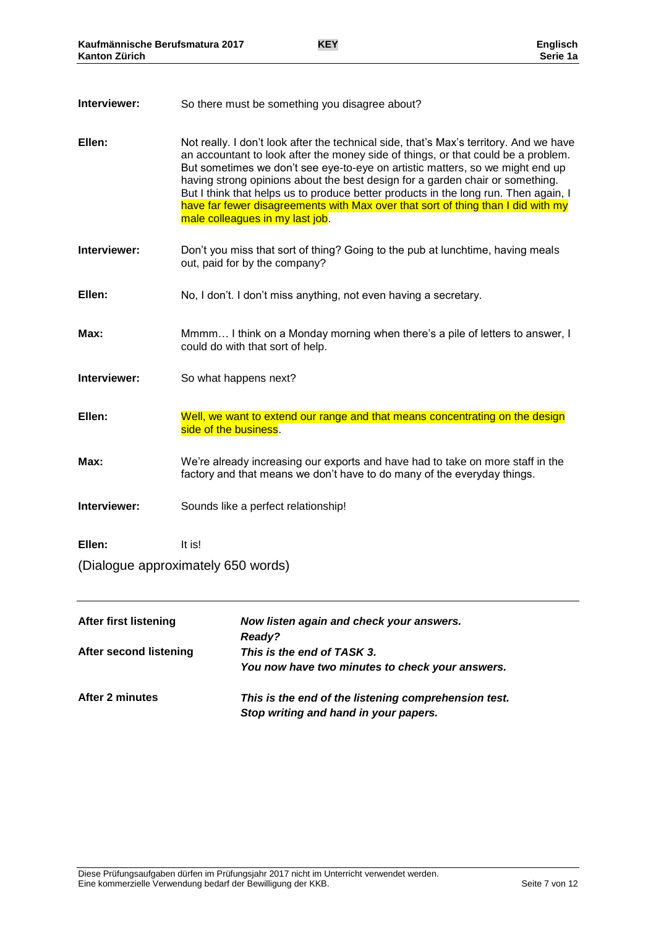| Interviewer: | So there must be something you disagree about? |
|--------------|------------------------------------------------|
|--------------|------------------------------------------------|

- **Ellen:** Not really. I don't look after the technical side, that's Max's territory. And we have an accountant to look after the money side of things, or that could be a problem. But sometimes we don't see eye-to-eye on artistic matters, so we might end up having strong opinions about the best design for a garden chair or something. But I think that helps us to produce better products in the long run. Then again, I have far fewer disagreements with Max over that sort of thing than I did with my male colleagues in my last job.
- **Interviewer:** Don't you miss that sort of thing? Going to the pub at lunchtime, having meals out, paid for by the company?
- **Ellen:** No, I don't. I don't miss anything, not even having a secretary.
- **Max:** Mmmm… I think on a Monday morning when there's a pile of letters to answer, I could do with that sort of help.
- **Interviewer:** So what happens next?
- **Ellen:** Well, we want to extend our range and that means concentrating on the design side of the business.
- **Max:** We're already increasing our exports and have had to take on more staff in the factory and that means we don't have to do many of the everyday things.
- **Interviewer:** Sounds like a perfect relationship!
- **Ellen:** It is!
- (Dialogue approximately 650 words)

| <b>After first listening</b> | Now listen again and check your answers.<br><b>Ready?</b>                                     |
|------------------------------|-----------------------------------------------------------------------------------------------|
| After second listening       | This is the end of TASK 3.<br>You now have two minutes to check your answers.                 |
| After 2 minutes              | This is the end of the listening comprehension test.<br>Stop writing and hand in your papers. |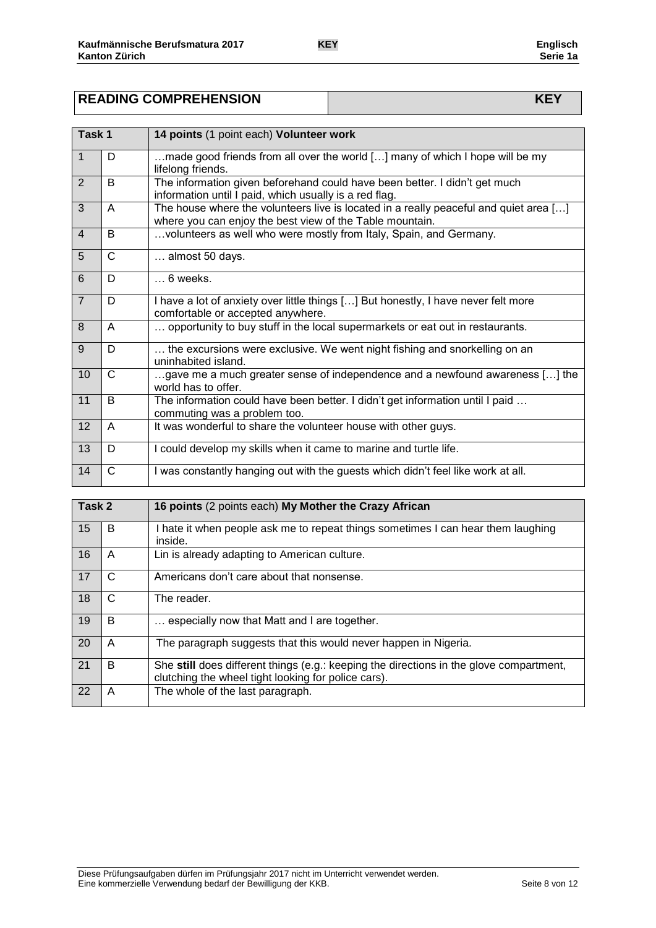| <b>READING COMPREHENSION</b> |  |
|------------------------------|--|

| Task 1         |              | 14 points (1 point each) Volunteer work                                                                                                           |
|----------------|--------------|---------------------------------------------------------------------------------------------------------------------------------------------------|
| $\vert$ 1      | D            | made good friends from all over the world [] many of which I hope will be my<br>lifelong friends.                                                 |
| 2              | B            | The information given beforehand could have been better. I didn't get much<br>information until I paid, which usually is a red flag.              |
| 3              | A            | The house where the volunteers live is located in a really peaceful and quiet area []<br>where you can enjoy the best view of the Table mountain. |
| $\overline{4}$ | B            | volunteers as well who were mostly from Italy, Spain, and Germany.                                                                                |
| 5              | C            | almost 50 days.                                                                                                                                   |
| 6              | D            | $\dots$ 6 weeks.                                                                                                                                  |
| 7              | D            | I have a lot of anxiety over little things [] But honestly, I have never felt more<br>comfortable or accepted anywhere.                           |
| 8              | A            | opportunity to buy stuff in the local supermarkets or eat out in restaurants.                                                                     |
| 9              | D            | the excursions were exclusive. We went night fishing and snorkelling on an<br>uninhabited island.                                                 |
| 10             | C            | gave me a much greater sense of independence and a newfound awareness [] the<br>world has to offer.                                               |
| 11             | B            | The information could have been better. I didn't get information until I paid<br>commuting was a problem too.                                     |
| 12             | A            | It was wonderful to share the volunteer house with other guys.                                                                                    |
| 13             | D            | I could develop my skills when it came to marine and turtle life.                                                                                 |
| 14             | $\mathsf{C}$ | I was constantly hanging out with the guests which didn't feel like work at all.                                                                  |

| Task 2 |   | 16 points (2 points each) My Mother the Crazy African                                                                                          |
|--------|---|------------------------------------------------------------------------------------------------------------------------------------------------|
| 15     | B | I hate it when people ask me to repeat things sometimes I can hear them laughing<br>inside.                                                    |
| 16     | A | Lin is already adapting to American culture.                                                                                                   |
| 17     | C | Americans don't care about that nonsense.                                                                                                      |
| 18     | C | The reader.                                                                                                                                    |
| 19     | B | especially now that Matt and I are together.                                                                                                   |
| 20     | A | The paragraph suggests that this would never happen in Nigeria.                                                                                |
| 21     | B | She still does different things (e.g.: keeping the directions in the glove compartment,<br>clutching the wheel tight looking for police cars). |
| 22     | A | The whole of the last paragraph.                                                                                                               |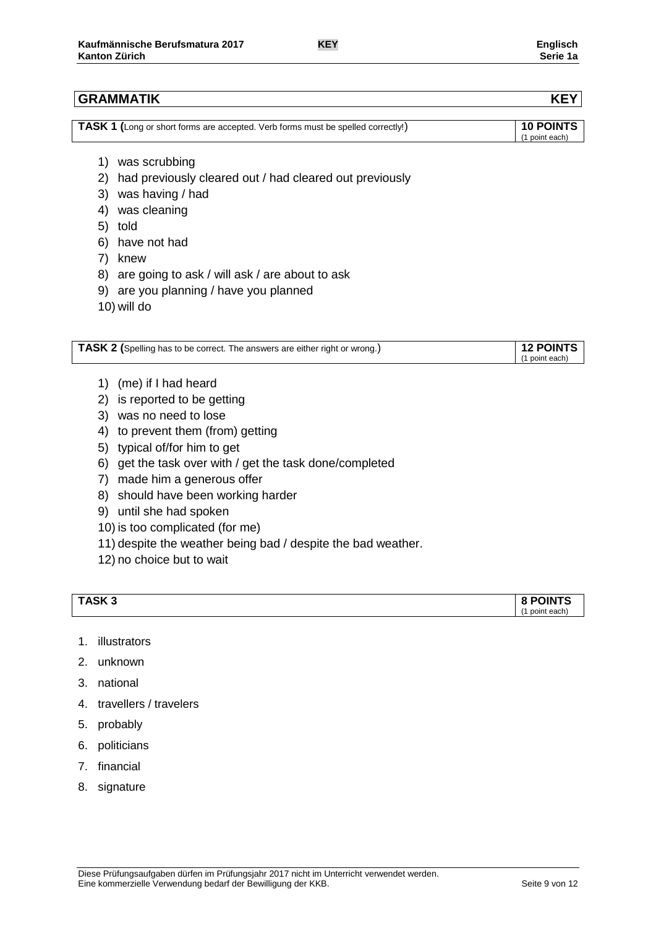# **GRAMMATIK KEY**

| <b>TASK 1</b> (Long or short forms are accepted. Verb forms must be spelled correctly!) | <b>10 POINTS</b> |
|-----------------------------------------------------------------------------------------|------------------|
|                                                                                         | (1 point each)   |

- 1) was scrubbing
- 2) had previously cleared out / had cleared out previously
- 3) was having / had
- 4) was cleaning
- 5) told
- 6) have not had
- 7) knew
- 8) are going to ask / will ask / are about to ask
- 9) are you planning / have you planned
- 10) will do

| TASK 2 (Spelling has to be correct. The answers are either right or wrong.) | <b>12 POINTS</b> |
|-----------------------------------------------------------------------------|------------------|
|                                                                             | (1 point each)   |

- 1) (me) if I had heard
- 2) is reported to be getting
- 3) was no need to lose
- 4) to prevent them (from) getting
- 5) typical of/for him to get
- 6) get the task over with / get the task done/completed
- 7) made him a generous offer
- 8) should have been working harder
- 9) until she had spoken
- 10) is too complicated (for me)
- 11) despite the weather being bad / despite the bad weather.
- 12) no choice but to wait

| TASK <sub>3</sub> | <b>8 POINTS</b> |
|-------------------|-----------------|
|                   | (1 point each)  |

- 1. illustrators
- 2. unknown
- 3. national
- 4. travellers / travelers
- 5. probably
- 6. politicians
- 7. financial
- 8. signature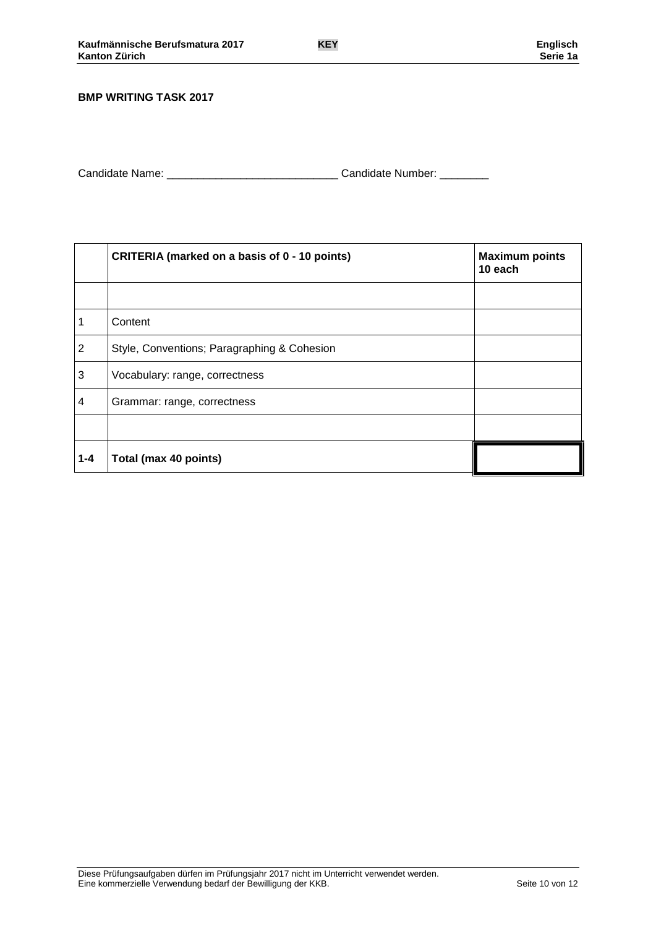#### **BMP WRITING TASK 2017**

| Candidate Name: | Candidate Number: |
|-----------------|-------------------|
|                 |                   |

|                | CRITERIA (marked on a basis of 0 - 10 points) | <b>Maximum points</b><br>10 each |
|----------------|-----------------------------------------------|----------------------------------|
|                |                                               |                                  |
| 1              | Content                                       |                                  |
| $\overline{2}$ | Style, Conventions; Paragraphing & Cohesion   |                                  |
| 3              | Vocabulary: range, correctness                |                                  |
| 4              | Grammar: range, correctness                   |                                  |
|                |                                               |                                  |
| $1 - 4$        | Total (max 40 points)                         |                                  |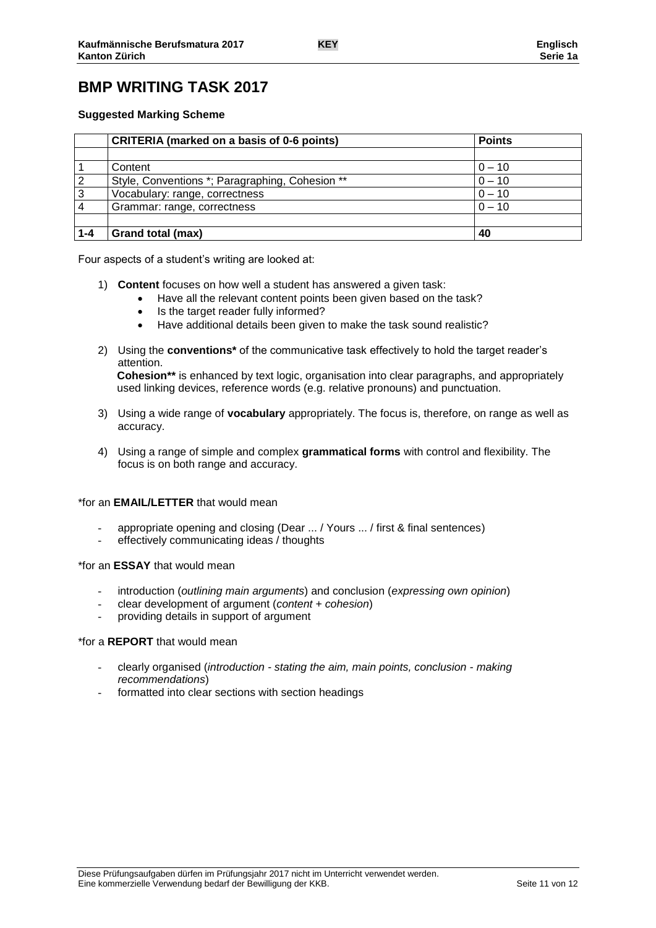# **BMP WRITING TASK 2017**

#### **Suggested Marking Scheme**

|         | <b>CRITERIA (marked on a basis of 0-6 points)</b> | <b>Points</b> |
|---------|---------------------------------------------------|---------------|
|         |                                                   |               |
|         | Content                                           | $0 - 10$      |
| 2       | Style, Conventions *; Paragraphing, Cohesion **   | $0 - 10$      |
| 3       | Vocabulary: range, correctness                    | $0 - 10$      |
|         | Grammar: range, correctness                       | $0 - 10$      |
|         |                                                   |               |
| $1 - 4$ | Grand total (max)                                 | 40            |

Four aspects of a student's writing are looked at:

- 1) **Content** focuses on how well a student has answered a given task:
	- Have all the relevant content points been given based on the task?
	- Is the target reader fully informed?
	- Have additional details been given to make the task sound realistic?
- 2) Using the **conventions\*** of the communicative task effectively to hold the target reader's attention.

**Cohesion\*\*** is enhanced by text logic, organisation into clear paragraphs, and appropriately used linking devices, reference words (e.g. relative pronouns) and punctuation.

- 3) Using a wide range of **vocabulary** appropriately. The focus is, therefore, on range as well as accuracy.
- 4) Using a range of simple and complex **grammatical forms** with control and flexibility. The focus is on both range and accuracy.

#### \*for an **EMAIL/LETTER** that would mean

- appropriate opening and closing (Dear ... / Yours ... / first & final sentences)
- effectively communicating ideas / thoughts

\*for an **ESSAY** that would mean

- introduction (*outlining main arguments*) and conclusion (*expressing own opinion*)
- clear development of argument (*content + cohesion*)
- providing details in support of argument

#### \*for a **REPORT** that would mean

- clearly organised (*introduction - stating the aim, main points, conclusion - making recommendations*)
- formatted into clear sections with section headings